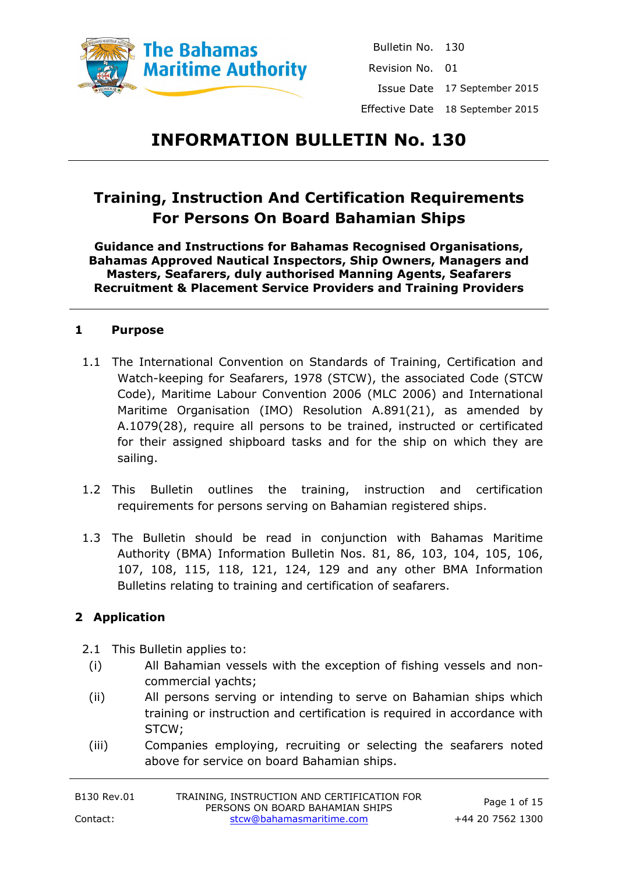

Bulletin No. 130 Revision No. 01 Issue Date 17 September 2015 Effective Date 18 September 2015

# **INFORMATION BULLETIN No. 130**

# **Training, Instruction And Certification Requirements For Persons On Board Bahamian Ships**

**Guidance and Instructions for Bahamas Recognised Organisations, Bahamas Approved Nautical Inspectors, Ship Owners, Managers and Masters, Seafarers, duly authorised Manning Agents, Seafarers Recruitment & Placement Service Providers and Training Providers**

#### **1 Purpose**

- 1.1 The International Convention on Standards of Training, Certification and Watch-keeping for Seafarers, 1978 (STCW), the associated Code (STCW Code), Maritime Labour Convention 2006 (MLC 2006) and International Maritime Organisation (IMO) Resolution A.891(21), as amended by A.1079(28), require all persons to be trained, instructed or certificated for their assigned shipboard tasks and for the ship on which they are sailing.
- 1.2 This Bulletin outlines the training, instruction and certification requirements for persons serving on Bahamian registered ships.
- 1.3 The Bulletin should be read in conjunction with Bahamas Maritime Authority (BMA) Information Bulletin Nos. 81, 86, 103, 104, 105, 106, 107, 108, 115, 118, 121, 124, 129 and any other BMA Information Bulletins relating to training and certification of seafarers.

### **2 Application**

- 2.1 This Bulletin applies to:
	- (i) All Bahamian vessels with the exception of fishing vessels and noncommercial yachts;
	- (ii) All persons serving or intending to serve on Bahamian ships which training or instruction and certification is required in accordance with STCW;
- (iii) Companies employing, recruiting or selecting the seafarers noted above for service on board Bahamian ships.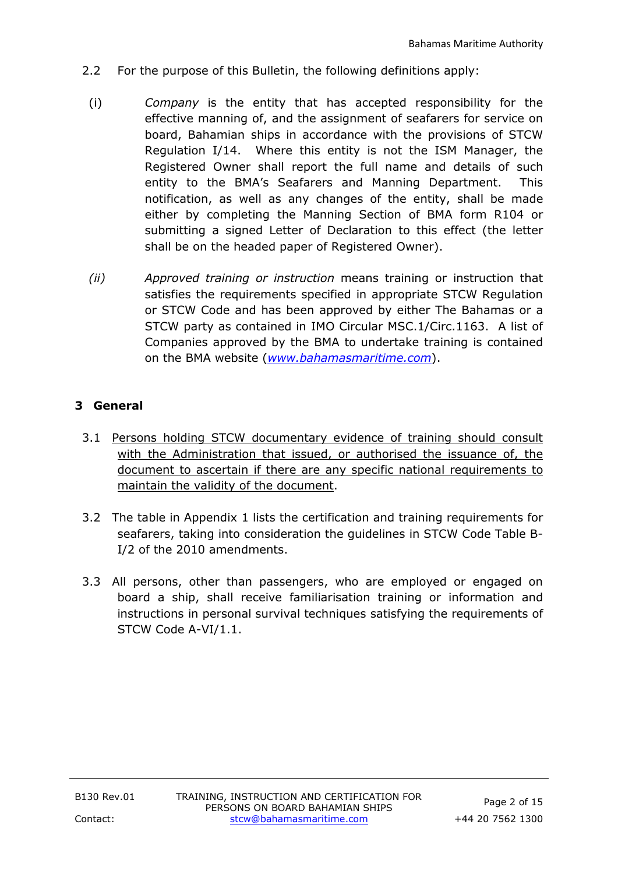- 2.2 For the purpose of this Bulletin, the following definitions apply:
	- (i) *Company* is the entity that has accepted responsibility for the effective manning of, and the assignment of seafarers for service on board, Bahamian ships in accordance with the provisions of STCW Regulation I/14. Where this entity is not the ISM Manager, the Registered Owner shall report the full name and details of such entity to the BMA's Seafarers and Manning Department. This notification, as well as any changes of the entity, shall be made either by completing the Manning Section of BMA form R104 or submitting a signed Letter of Declaration to this effect (the letter shall be on the headed paper of Registered Owner).
	- *(ii) Approved training or instruction* means training or instruction that satisfies the requirements specified in appropriate STCW Regulation or STCW Code and has been approved by either The Bahamas or a STCW party as contained in IMO Circular MSC.1/Circ.1163. A list of Companies approved by the BMA to undertake training is contained on the BMA website (*[www.bahamasmaritime.com](http://www.bahamasmaritime.com/)*).

# **3 General**

- 3.1 Persons holding STCW documentary evidence of training should consult with the Administration that issued, or authorised the issuance of, the document to ascertain if there are any specific national requirements to maintain the validity of the document.
- 3.2 The table in Appendix 1 lists the certification and training requirements for seafarers, taking into consideration the guidelines in STCW Code Table B-I/2 of the 2010 amendments.
- 3.3 All persons, other than passengers, who are employed or engaged on board a ship, shall receive familiarisation training or information and instructions in personal survival techniques satisfying the requirements of STCW Code A-VI/1.1.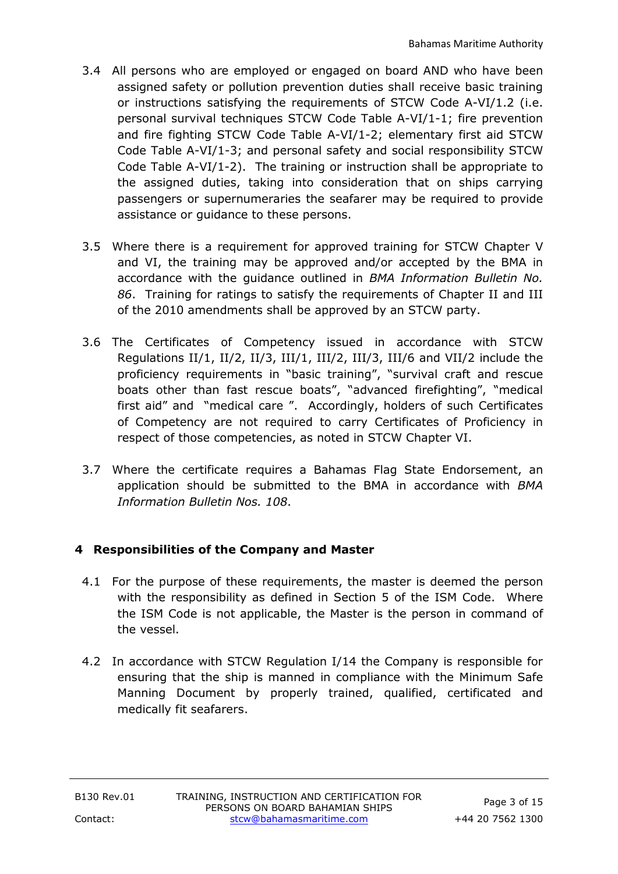- 3.4 All persons who are employed or engaged on board AND who have been assigned safety or pollution prevention duties shall receive basic training or instructions satisfying the requirements of STCW Code A-VI/1.2 (i.e. personal survival techniques STCW Code Table A-VI/1-1; fire prevention and fire fighting STCW Code Table A-VI/1-2; elementary first aid STCW Code Table A-VI/1-3; and personal safety and social responsibility STCW Code Table A-VI/1-2). The training or instruction shall be appropriate to the assigned duties, taking into consideration that on ships carrying passengers or supernumeraries the seafarer may be required to provide assistance or guidance to these persons.
- 3.5 Where there is a requirement for approved training for STCW Chapter V and VI, the training may be approved and/or accepted by the BMA in accordance with the guidance outlined in *BMA Information Bulletin No. 86*. Training for ratings to satisfy the requirements of Chapter II and III of the 2010 amendments shall be approved by an STCW party.
- 3.6 The Certificates of Competency issued in accordance with STCW Regulations II/1, II/2, II/3, III/1, III/2, III/3, III/6 and VII/2 include the proficiency requirements in "basic training", "survival craft and rescue boats other than fast rescue boats", "advanced firefighting", "medical first aid" and "medical care ". Accordingly, holders of such Certificates of Competency are not required to carry Certificates of Proficiency in respect of those competencies, as noted in STCW Chapter VI.
- 3.7 Where the certificate requires a Bahamas Flag State Endorsement, an application should be submitted to the BMA in accordance with *BMA Information Bulletin Nos. 108*.

# **4 Responsibilities of the Company and Master**

- 4.1 For the purpose of these requirements, the master is deemed the person with the responsibility as defined in Section 5 of the ISM Code. Where the ISM Code is not applicable, the Master is the person in command of the vessel.
- 4.2 In accordance with STCW Regulation I/14 the Company is responsible for ensuring that the ship is manned in compliance with the Minimum Safe Manning Document by properly trained, qualified, certificated and medically fit seafarers.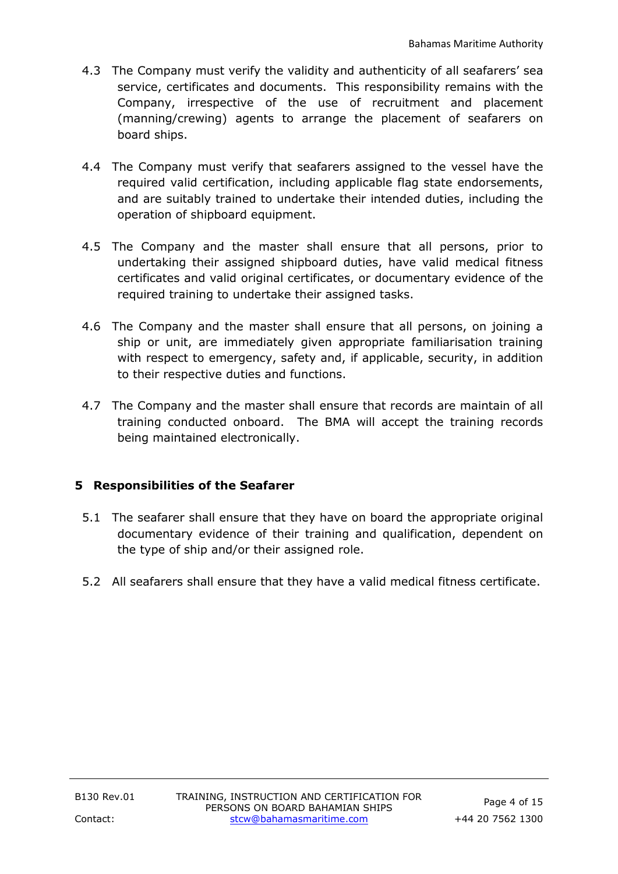- 4.3 The Company must verify the validity and authenticity of all seafarers' sea service, certificates and documents. This responsibility remains with the Company, irrespective of the use of recruitment and placement (manning/crewing) agents to arrange the placement of seafarers on board ships.
- 4.4 The Company must verify that seafarers assigned to the vessel have the required valid certification, including applicable flag state endorsements, and are suitably trained to undertake their intended duties, including the operation of shipboard equipment.
- 4.5 The Company and the master shall ensure that all persons, prior to undertaking their assigned shipboard duties, have valid medical fitness certificates and valid original certificates, or documentary evidence of the required training to undertake their assigned tasks.
- 4.6 The Company and the master shall ensure that all persons, on joining a ship or unit, are immediately given appropriate familiarisation training with respect to emergency, safety and, if applicable, security, in addition to their respective duties and functions.
- 4.7 The Company and the master shall ensure that records are maintain of all training conducted onboard. The BMA will accept the training records being maintained electronically.

### **5 Responsibilities of the Seafarer**

- 5.1 The seafarer shall ensure that they have on board the appropriate original documentary evidence of their training and qualification, dependent on the type of ship and/or their assigned role.
- 5.2 All seafarers shall ensure that they have a valid medical fitness certificate.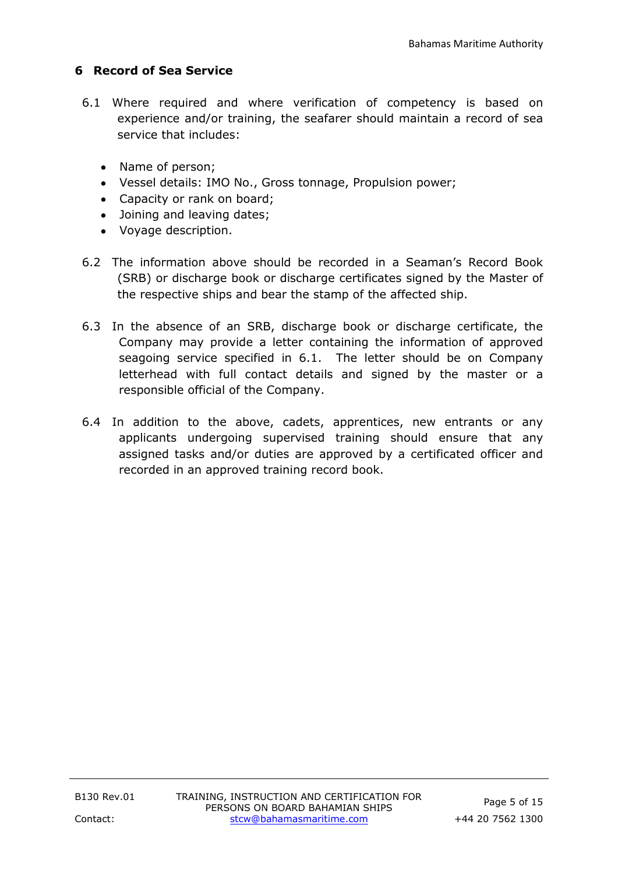# **6 Record of Sea Service**

- 6.1 Where required and where verification of competency is based on experience and/or training, the seafarer should maintain a record of sea service that includes:
	- Name of person;
	- Vessel details: IMO No., Gross tonnage, Propulsion power;
	- Capacity or rank on board;
	- Joining and leaving dates;
	- Voyage description.
- 6.2 The information above should be recorded in a Seaman's Record Book (SRB) or discharge book or discharge certificates signed by the Master of the respective ships and bear the stamp of the affected ship.
- 6.3 In the absence of an SRB, discharge book or discharge certificate, the Company may provide a letter containing the information of approved seagoing service specified in 6.1. The letter should be on Company letterhead with full contact details and signed by the master or a responsible official of the Company.
- 6.4 In addition to the above, cadets, apprentices, new entrants or any applicants undergoing supervised training should ensure that any assigned tasks and/or duties are approved by a certificated officer and recorded in an approved training record book.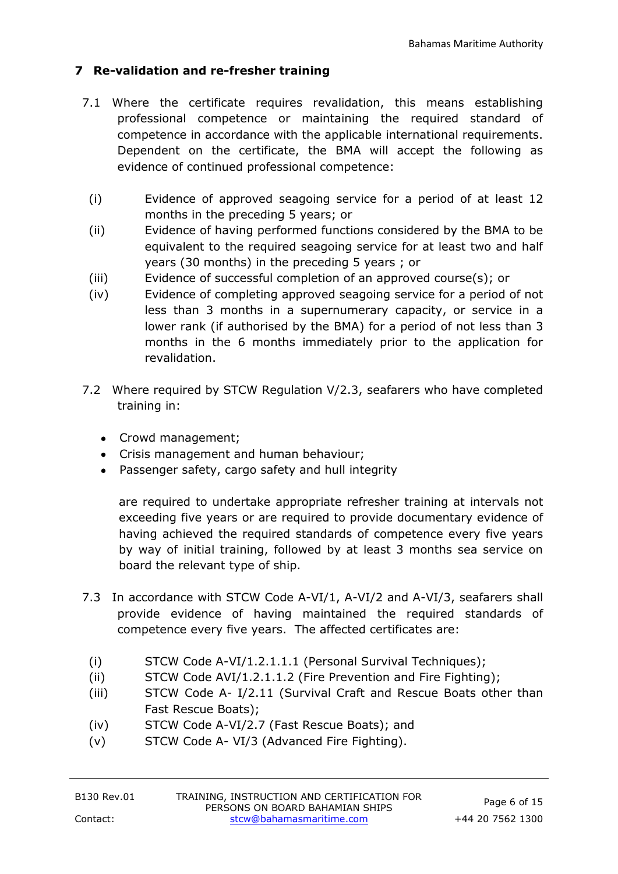# **7 Re-validation and re-fresher training**

- 7.1 Where the certificate requires revalidation, this means establishing professional competence or maintaining the required standard of competence in accordance with the applicable international requirements. Dependent on the certificate, the BMA will accept the following as evidence of continued professional competence:
	- (i) Evidence of approved seagoing service for a period of at least 12 months in the preceding 5 years; or
	- (ii) Evidence of having performed functions considered by the BMA to be equivalent to the required seagoing service for at least two and half years (30 months) in the preceding 5 years ; or
	- (iii) Evidence of successful completion of an approved course(s); or
	- (iv) Evidence of completing approved seagoing service for a period of not less than 3 months in a supernumerary capacity, or service in a lower rank (if authorised by the BMA) for a period of not less than 3 months in the 6 months immediately prior to the application for revalidation.
- 7.2 Where required by STCW Regulation V/2.3, seafarers who have completed training in:
	- Crowd management;
	- Crisis management and human behaviour;
	- Passenger safety, cargo safety and hull integrity

are required to undertake appropriate refresher training at intervals not exceeding five years or are required to provide documentary evidence of having achieved the required standards of competence every five years by way of initial training, followed by at least 3 months sea service on board the relevant type of ship.

- 7.3 In accordance with STCW Code A-VI/1, A-VI/2 and A-VI/3, seafarers shall provide evidence of having maintained the required standards of competence every five years. The affected certificates are:
	- (i) STCW Code A-VI/1.2.1.1.1 (Personal Survival Techniques);
	- (ii) STCW Code AVI/1.2.1.1.2 (Fire Prevention and Fire Fighting);
	- (iii) STCW Code A- I/2.11 (Survival Craft and Rescue Boats other than Fast Rescue Boats);
	- (iv) STCW Code A-VI/2.7 (Fast Rescue Boats); and
	- (v) STCW Code A- VI/3 (Advanced Fire Fighting).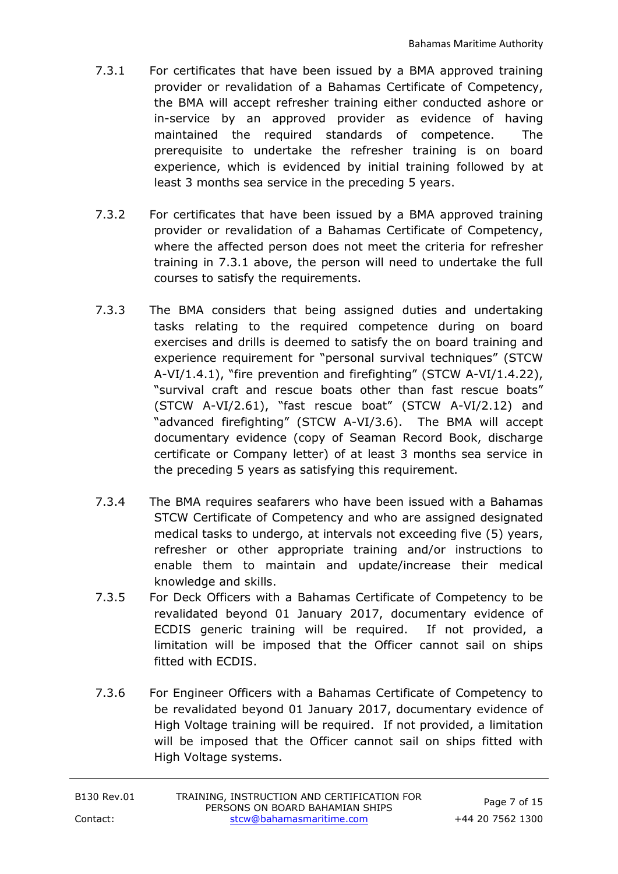- 7.3.1 For certificates that have been issued by a BMA approved training provider or revalidation of a Bahamas Certificate of Competency, the BMA will accept refresher training either conducted ashore or in-service by an approved provider as evidence of having maintained the required standards of competence. The prerequisite to undertake the refresher training is on board experience, which is evidenced by initial training followed by at least 3 months sea service in the preceding 5 years.
- 7.3.2 For certificates that have been issued by a BMA approved training provider or revalidation of a Bahamas Certificate of Competency, where the affected person does not meet the criteria for refresher training in 7.3.1 above, the person will need to undertake the full courses to satisfy the requirements.
- 7.3.3 The BMA considers that being assigned duties and undertaking tasks relating to the required competence during on board exercises and drills is deemed to satisfy the on board training and experience requirement for "personal survival techniques" (STCW A-VI/1.4.1), "fire prevention and firefighting" (STCW A-VI/1.4.22), "survival craft and rescue boats other than fast rescue boats" (STCW A-VI/2.61), "fast rescue boat" (STCW A-VI/2.12) and "advanced firefighting" (STCW A-VI/3.6). The BMA will accept documentary evidence (copy of Seaman Record Book, discharge certificate or Company letter) of at least 3 months sea service in the preceding 5 years as satisfying this requirement.
- 7.3.4 The BMA requires seafarers who have been issued with a Bahamas STCW Certificate of Competency and who are assigned designated medical tasks to undergo, at intervals not exceeding five (5) years, refresher or other appropriate training and/or instructions to enable them to maintain and update/increase their medical knowledge and skills.
- 7.3.5 For Deck Officers with a Bahamas Certificate of Competency to be revalidated beyond 01 January 2017, documentary evidence of ECDIS generic training will be required. If not provided, a limitation will be imposed that the Officer cannot sail on ships fitted with ECDIS.
- 7.3.6 For Engineer Officers with a Bahamas Certificate of Competency to be revalidated beyond 01 January 2017, documentary evidence of High Voltage training will be required. If not provided, a limitation will be imposed that the Officer cannot sail on ships fitted with High Voltage systems.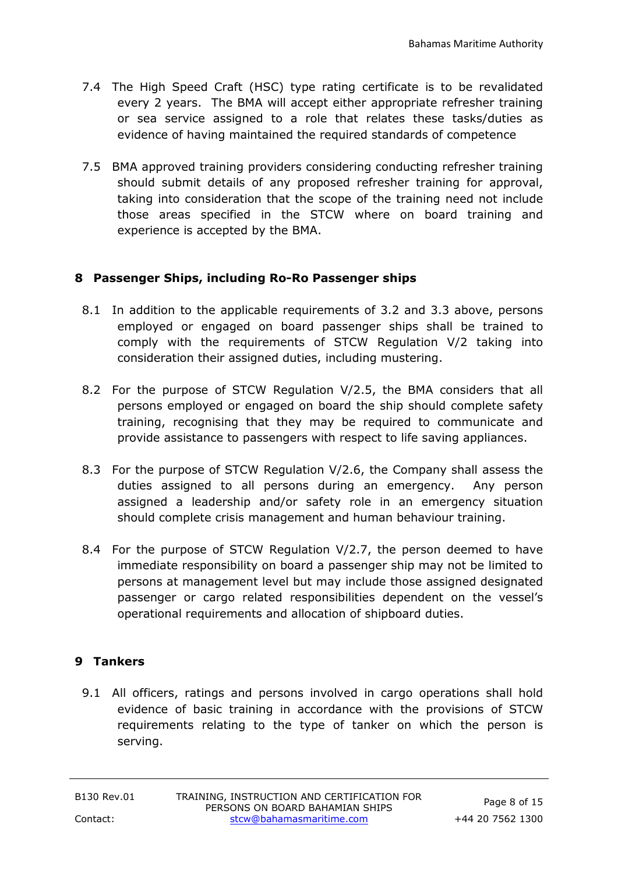- 7.4 The High Speed Craft (HSC) type rating certificate is to be revalidated every 2 years. The BMA will accept either appropriate refresher training or sea service assigned to a role that relates these tasks/duties as evidence of having maintained the required standards of competence
- 7.5 BMA approved training providers considering conducting refresher training should submit details of any proposed refresher training for approval, taking into consideration that the scope of the training need not include those areas specified in the STCW where on board training and experience is accepted by the BMA.

#### **8 Passenger Ships, including Ro-Ro Passenger ships**

- 8.1 In addition to the applicable requirements of 3.2 and 3.3 above, persons employed or engaged on board passenger ships shall be trained to comply with the requirements of STCW Regulation V/2 taking into consideration their assigned duties, including mustering.
- 8.2 For the purpose of STCW Regulation V/2.5, the BMA considers that all persons employed or engaged on board the ship should complete safety training, recognising that they may be required to communicate and provide assistance to passengers with respect to life saving appliances.
- 8.3 For the purpose of STCW Regulation V/2.6, the Company shall assess the duties assigned to all persons during an emergency. Any person assigned a leadership and/or safety role in an emergency situation should complete crisis management and human behaviour training.
- 8.4 For the purpose of STCW Regulation V/2.7, the person deemed to have immediate responsibility on board a passenger ship may not be limited to persons at management level but may include those assigned designated passenger or cargo related responsibilities dependent on the vessel's operational requirements and allocation of shipboard duties.

### **9 Tankers**

9.1 All officers, ratings and persons involved in cargo operations shall hold evidence of basic training in accordance with the provisions of STCW requirements relating to the type of tanker on which the person is serving.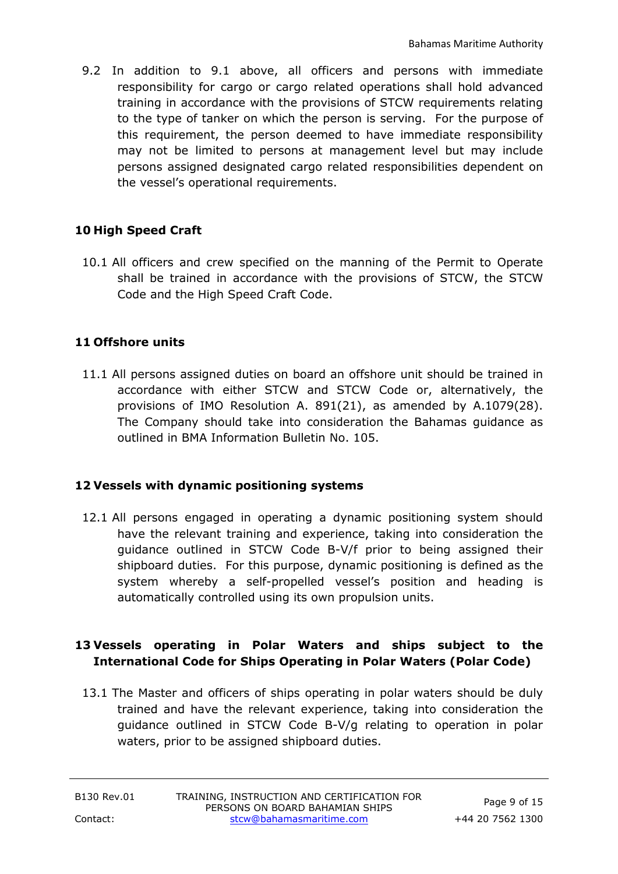9.2 In addition to 9.1 above, all officers and persons with immediate responsibility for cargo or cargo related operations shall hold advanced training in accordance with the provisions of STCW requirements relating to the type of tanker on which the person is serving. For the purpose of this requirement, the person deemed to have immediate responsibility may not be limited to persons at management level but may include persons assigned designated cargo related responsibilities dependent on the vessel's operational requirements.

# **10 High Speed Craft**

10.1 All officers and crew specified on the manning of the Permit to Operate shall be trained in accordance with the provisions of STCW, the STCW Code and the High Speed Craft Code.

### **11 Offshore units**

11.1 All persons assigned duties on board an offshore unit should be trained in accordance with either STCW and STCW Code or, alternatively, the provisions of IMO Resolution A. 891(21), as amended by A.1079(28). The Company should take into consideration the Bahamas guidance as outlined in BMA Information Bulletin No. 105.

### **12 Vessels with dynamic positioning systems**

12.1 All persons engaged in operating a dynamic positioning system should have the relevant training and experience, taking into consideration the guidance outlined in STCW Code B-V/f prior to being assigned their shipboard duties. For this purpose, dynamic positioning is defined as the system whereby a self-propelled vessel's position and heading is automatically controlled using its own propulsion units.

### **13 Vessels operating in Polar Waters and ships subject to the International Code for Ships Operating in Polar Waters (Polar Code)**

13.1 The Master and officers of ships operating in polar waters should be duly trained and have the relevant experience, taking into consideration the guidance outlined in STCW Code B-V/g relating to operation in polar waters, prior to be assigned shipboard duties.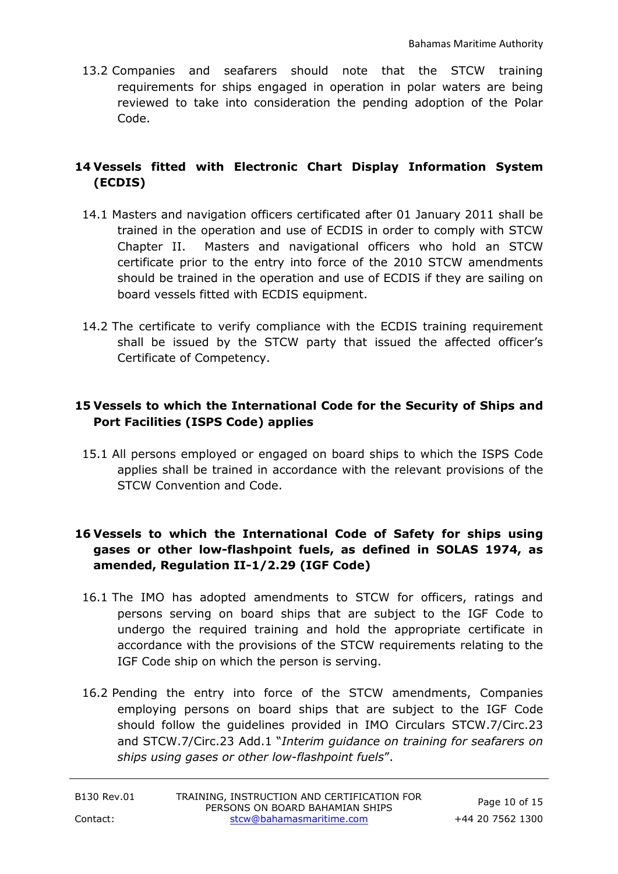13.2 Companies and seafarers should note that the STCW training requirements for ships engaged in operation in polar waters are being reviewed to take into consideration the pending adoption of the Polar Code.

# **14 Vessels fitted with Electronic Chart Display Information System (ECDIS)**

- 14.1 Masters and navigation officers certificated after 01 January 2011 shall be trained in the operation and use of ECDIS in order to comply with STCW Chapter II. Masters and navigational officers who hold an STCW certificate prior to the entry into force of the 2010 STCW amendments should be trained in the operation and use of ECDIS if they are sailing on board vessels fitted with ECDIS equipment.
- 14.2 The certificate to verify compliance with the ECDIS training requirement shall be issued by the STCW party that issued the affected officer's Certificate of Competency.

# **15 Vessels to which the International Code for the Security of Ships and Port Facilities (ISPS Code) applies**

15.1 All persons employed or engaged on board ships to which the ISPS Code applies shall be trained in accordance with the relevant provisions of the STCW Convention and Code.

# **16 Vessels to which the International Code of Safety for ships using gases or other low-flashpoint fuels, as defined in SOLAS 1974, as amended, Regulation II-1/2.29 (IGF Code)**

- 16.1 The IMO has adopted amendments to STCW for officers, ratings and persons serving on board ships that are subject to the IGF Code to undergo the required training and hold the appropriate certificate in accordance with the provisions of the STCW requirements relating to the IGF Code ship on which the person is serving.
- 16.2 Pending the entry into force of the STCW amendments, Companies employing persons on board ships that are subject to the IGF Code should follow the guidelines provided in IMO Circulars STCW.7/Circ.23 and STCW.7/Circ.23 Add.1 "*Interim guidance on training for seafarers on ships using gases or other low-flashpoint fuels*".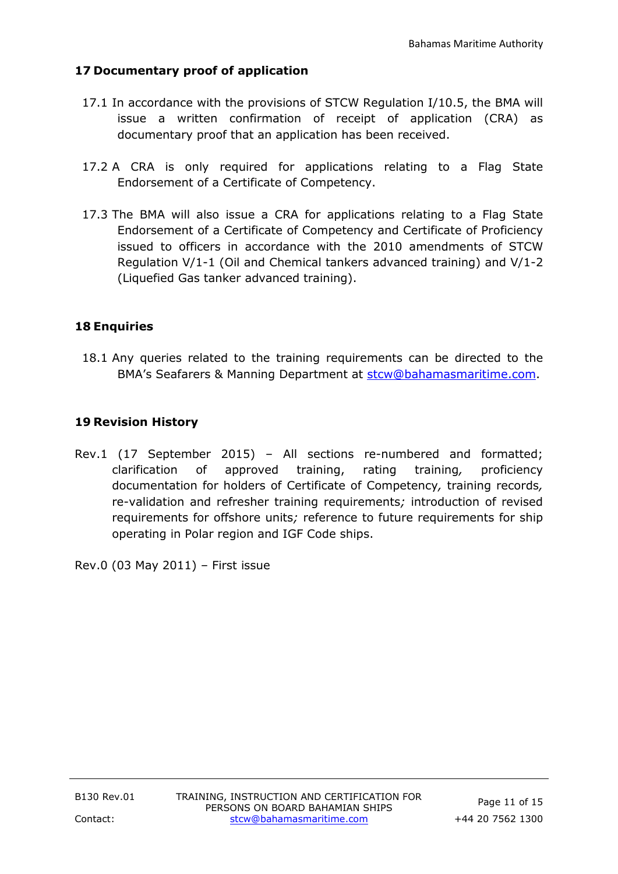# **17 Documentary proof of application**

- 17.1 In accordance with the provisions of STCW Regulation I/10.5, the BMA will issue a written confirmation of receipt of application (CRA) as documentary proof that an application has been received.
- 17.2 A CRA is only required for applications relating to a Flag State Endorsement of a Certificate of Competency.
- 17.3 The BMA will also issue a CRA for applications relating to a Flag State Endorsement of a Certificate of Competency and Certificate of Proficiency issued to officers in accordance with the 2010 amendments of STCW Regulation V/1-1 (Oil and Chemical tankers advanced training) and V/1-2 (Liquefied Gas tanker advanced training).

# **18 Enquiries**

18.1 Any queries related to the training requirements can be directed to the BMA's Seafarers & Manning Department at [stcw@bahamasmaritime.com.](mailto:stcw@bahamasmaritime.com)

# **19 Revision History**

Rev.1 (17 September 2015) – All sections re-numbered and formatted; clarification of approved training, rating training*,* proficiency documentation for holders of Certificate of Competency*,* training records*,* re-validation and refresher training requirements*;* introduction of revised requirements for offshore units*;* reference to future requirements for ship operating in Polar region and IGF Code ships.

Rev.0 (03 May 2011) – First issue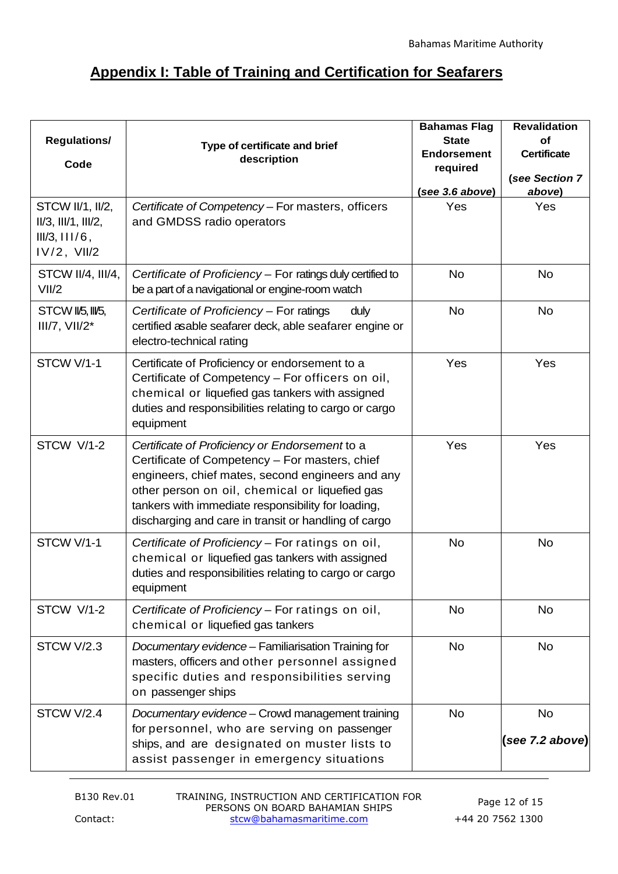# **Appendix I: Table of Training and Certification for Seafarers**

| <b>Regulations/</b><br>Code                                                           | Type of certificate and brief<br>description                                                                                                                                                                                                                                                                         | <b>Bahamas Flag</b><br><b>State</b><br><b>Endorsement</b><br>required<br>(see 3.6 above) | <b>Revalidation</b><br>of<br><b>Certificate</b><br>(see Section 7<br>above) |
|---------------------------------------------------------------------------------------|----------------------------------------------------------------------------------------------------------------------------------------------------------------------------------------------------------------------------------------------------------------------------------------------------------------------|------------------------------------------------------------------------------------------|-----------------------------------------------------------------------------|
| STCW II/1, II/2,<br>$II/3$ , $III/1$ , $III/2$ ,<br>III/3, III/6,<br>$IV/2$ , $VII/2$ | Certificate of Competency - For masters, officers<br>and GMDSS radio operators                                                                                                                                                                                                                                       | Yes                                                                                      | Yes                                                                         |
| STCW II/4, III/4,<br>VII/2                                                            | Certificate of Proficiency - For ratings duly certified to<br>be a part of a navigational or engine-room watch                                                                                                                                                                                                       | <b>No</b>                                                                                | <b>No</b>                                                                   |
| STCW II/5, III/5,<br>$III/7, VII/2*$                                                  | Certificate of Proficiency - For ratings<br>duly<br>certified asable seafarer deck, able seafarer engine or<br>electro-technical rating                                                                                                                                                                              | <b>No</b>                                                                                | <b>No</b>                                                                   |
| STCW V/1-1                                                                            | Certificate of Proficiency or endorsement to a<br>Certificate of Competency - For officers on oil,<br>chemical or liquefied gas tankers with assigned<br>duties and responsibilities relating to cargo or cargo<br>equipment                                                                                         | Yes                                                                                      | Yes                                                                         |
| STCW V/1-2                                                                            | Certificate of Proficiency or Endorsement to a<br>Certificate of Competency - For masters, chief<br>engineers, chief mates, second engineers and any<br>other person on oil, chemical or liquefied gas<br>tankers with immediate responsibility for loading,<br>discharging and care in transit or handling of cargo | Yes                                                                                      | Yes                                                                         |
| STCW V/1-1                                                                            | Certificate of Proficiency - For ratings on oil,<br>chemical or liquefied gas tankers with assigned<br>duties and responsibilities relating to cargo or cargo<br>equipment                                                                                                                                           | <b>No</b>                                                                                | <b>No</b>                                                                   |
| STCW V/1-2                                                                            | Certificate of Proficiency - For ratings on oil,<br>chemical or liquefied gas tankers                                                                                                                                                                                                                                | <b>No</b>                                                                                | <b>No</b>                                                                   |
| STCW V/2.3                                                                            | Documentary evidence - Familiarisation Training for<br>masters, officers and other personnel assigned<br>specific duties and responsibilities serving<br>on passenger ships                                                                                                                                          | <b>No</b>                                                                                | <b>No</b>                                                                   |
| STCW V/2.4                                                                            | Documentary evidence - Crowd management training<br>for personnel, who are serving on passenger<br>ships, and are designated on muster lists to<br>assist passenger in emergency situations                                                                                                                          | <b>No</b>                                                                                | <b>No</b><br>(see 7.2 above)                                                |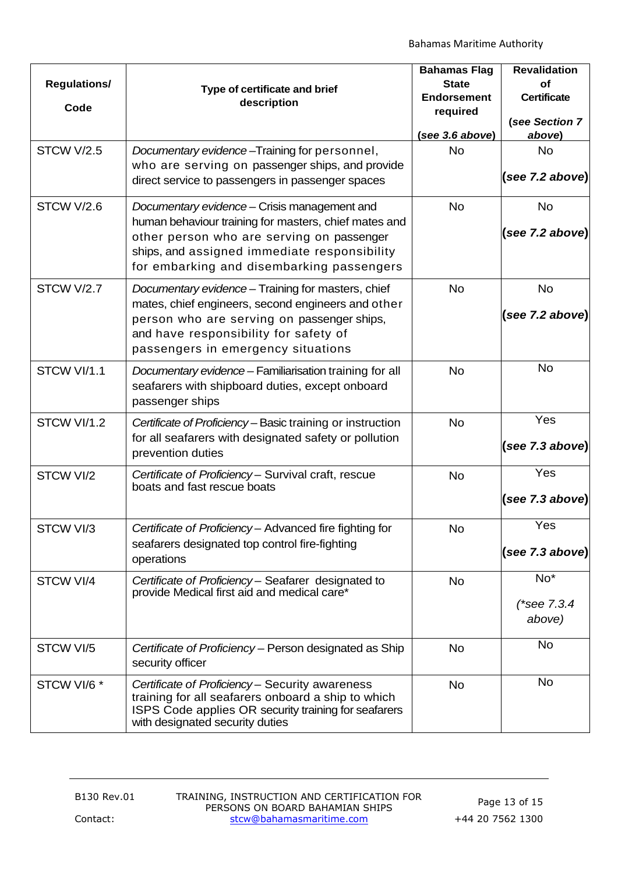| <b>Regulations/</b><br>Code | Type of certificate and brief<br>description                                                                                                                                                                                                    | <b>Bahamas Flag</b><br><b>State</b><br><b>Endorsement</b><br>required<br>(see 3.6 above) | <b>Revalidation</b><br>of<br><b>Certificate</b><br>(see Section 7<br>above) |
|-----------------------------|-------------------------------------------------------------------------------------------------------------------------------------------------------------------------------------------------------------------------------------------------|------------------------------------------------------------------------------------------|-----------------------------------------------------------------------------|
| STCW V/2.5                  | Documentary evidence-Training for personnel,<br>who are serving on passenger ships, and provide<br>direct service to passengers in passenger spaces                                                                                             | <b>No</b>                                                                                | <b>No</b><br>(see 7.2 above)                                                |
| STCW V/2.6                  | Documentary evidence – Crisis management and<br>human behaviour training for masters, chief mates and<br>other person who are serving on passenger<br>ships, and assigned immediate responsibility<br>for embarking and disembarking passengers | <b>No</b>                                                                                | <b>No</b><br>(see 7.2 above)                                                |
| STCW V/2.7                  | Documentary evidence - Training for masters, chief<br>mates, chief engineers, second engineers and other<br>person who are serving on passenger ships,<br>and have responsibility for safety of<br>passengers in emergency situations           | <b>No</b>                                                                                | <b>No</b><br>(see 7.2 above)                                                |
| STCW VI/1.1                 | Documentary evidence - Familiarisation training for all<br>seafarers with shipboard duties, except onboard<br>passenger ships                                                                                                                   | <b>No</b>                                                                                | <b>No</b>                                                                   |
| STCW VI/1.2                 | Certificate of Proficiency - Basic training or instruction<br>for all seafarers with designated safety or pollution<br>prevention duties                                                                                                        | <b>No</b>                                                                                | Yes<br>(see 7.3 above)                                                      |
| STCW VI/2                   | Certificate of Proficiency- Survival craft, rescue<br>boats and fast rescue boats                                                                                                                                                               | <b>No</b>                                                                                | Yes<br>(see 7.3 above)                                                      |
| STCW VI/3                   | Certificate of Proficiency- Advanced fire fighting for<br>seafarers designated top control fire-fighting<br>operations                                                                                                                          | No.                                                                                      | Yes<br>(see 7.3 above)                                                      |
| STCW VI/4                   | Certificate of Proficiency - Seafarer designated to<br>provide Medical first aid and medical care*                                                                                                                                              | <b>No</b>                                                                                | No*<br>(*see 7.3.4<br>above)                                                |
| STCW VI/5                   | Certificate of Proficiency – Person designated as Ship<br>security officer                                                                                                                                                                      | <b>No</b>                                                                                | <b>No</b>                                                                   |
| STCW VI/6 *                 | Certificate of Proficiency - Security awareness<br>training for all seafarers onboard a ship to which<br>ISPS Code applies OR security training for seafarers<br>with designated security duties                                                | <b>No</b>                                                                                | <b>No</b>                                                                   |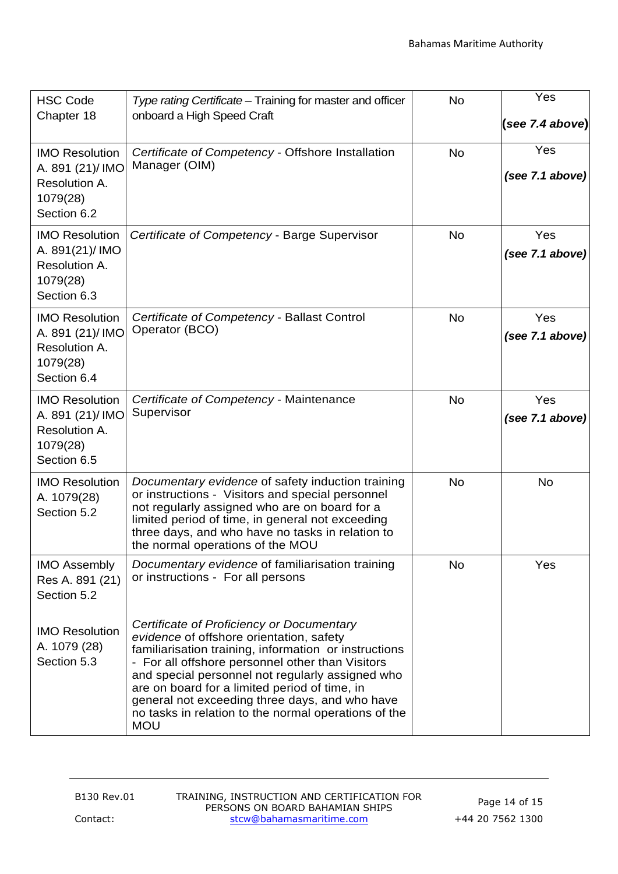| <b>HSC Code</b><br>Chapter 18                                                         | Type rating Certificate – Training for master and officer<br>onboard a High Speed Craft                                                                                                                                                                                                                                                                                                                                         | <b>No</b> | Yes<br>(see 7.4 above) |
|---------------------------------------------------------------------------------------|---------------------------------------------------------------------------------------------------------------------------------------------------------------------------------------------------------------------------------------------------------------------------------------------------------------------------------------------------------------------------------------------------------------------------------|-----------|------------------------|
| <b>IMO Resolution</b><br>A. 891 (21)/IMO<br>Resolution A.<br>1079(28)<br>Section 6.2  | Certificate of Competency - Offshore Installation<br>Manager (OIM)                                                                                                                                                                                                                                                                                                                                                              | <b>No</b> | Yes<br>(see 7.1 above) |
| <b>IMO Resolution</b><br>A. 891(21)/IMO<br>Resolution A.<br>1079(28)<br>Section 6.3   | Certificate of Competency - Barge Supervisor                                                                                                                                                                                                                                                                                                                                                                                    | <b>No</b> | Yes<br>(see 7.1 above) |
| <b>IMO Resolution</b><br>A. 891 (21)/ IMO<br>Resolution A.<br>1079(28)<br>Section 6.4 | Certificate of Competency - Ballast Control<br>Operator (BCO)                                                                                                                                                                                                                                                                                                                                                                   | <b>No</b> | Yes<br>(see 7.1 above) |
| <b>IMO Resolution</b><br>A. 891 (21)/ IMO<br>Resolution A.<br>1079(28)<br>Section 6.5 | Certificate of Competency - Maintenance<br>Supervisor                                                                                                                                                                                                                                                                                                                                                                           | <b>No</b> | Yes<br>(see 7.1 above) |
| <b>IMO Resolution</b><br>A. 1079(28)<br>Section 5.2                                   | Documentary evidence of safety induction training<br>or instructions - Visitors and special personnel<br>not regularly assigned who are on board for a<br>limited period of time, in general not exceeding<br>three days, and who have no tasks in relation to<br>the normal operations of the MOU                                                                                                                              | <b>No</b> | No                     |
| <b>IMO Assembly</b><br>Res A. 891 (21)<br>Section 5.2                                 | Documentary evidence of familiarisation training<br>or instructions - For all persons                                                                                                                                                                                                                                                                                                                                           | <b>No</b> | Yes                    |
| <b>IMO Resolution</b><br>A. 1079 (28)<br>Section 5.3                                  | Certificate of Proficiency or Documentary<br>evidence of offshore orientation, safety<br>familiarisation training, information or instructions<br>- For all offshore personnel other than Visitors<br>and special personnel not regularly assigned who<br>are on board for a limited period of time, in<br>general not exceeding three days, and who have<br>no tasks in relation to the normal operations of the<br><b>MOU</b> |           |                        |